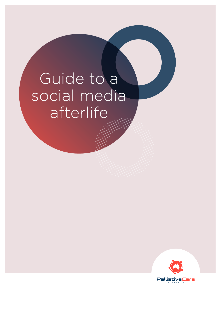# Guide to a social media afterlife

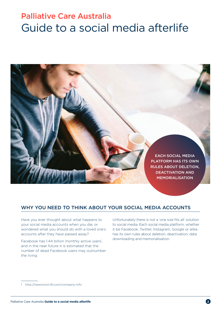# Palliative Care Australia Guide to a social media afterlife



### Why you need to think about your social media accounts

Have you ever thought about what happens to your social media accounts when you die, or wondered what you should do with a loved one's accounts after they have passed away?

Facebook has 1.44 billion monthly active users<sup>1</sup>, and in the near future it is estimated that the number of dead Facebook users may outnumber the living.

Unfortunately there is not a 'one size fits all' solution to social media. Each social media platform, whether it be Facebook, Twitter, Instagram, Google or alike, has its own rules about deletion, deactivation, data downloading and memorialisation.

<sup>1</sup> [http://newsroom.fb.com/company-info](http://newsroom.fb.com/company-info/)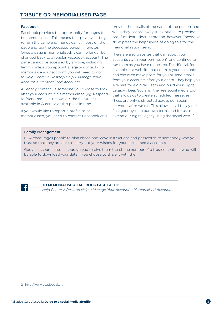#### Facebook

Facebook provides the opportunity for pages to be memorialised. This means that privacy settings remain the same and friends can still post on the page and tag the deceased person in photos. Once a page is memorialised, it can no longer be changed back to a regular Facebook account. The page cannot be accessed by anyone, including family (unless you appoint a legacy contact). To memorialise your account, you will need to go to *Help Center > Desktop Help > Manage Your Account > Memorialized Accounts*.

A 'legacy contact', is someone you choose to look after your account if it is memorialised (eg. Respond to friend requests). However, the feature is not available in Australia at this point in time.

If you would like to report a profile to be memorialised, you need to contact Facebook and

provide the details of the name of the person, and when they passed away. It is optional to provide proof of death documentation, however Facebook do express the helpfulness of doing this for the memorialization team.

There are also websites that can adopt your accounts (with your permission), and continue to run them as you have requested. [DeadSocial,](http://www.deadsocial.org) for example, is a website that controls your accounts and can even make posts for you or send emails from your accounts after your death. They help you "Prepare for a digital Death and build your Digital Legacy". DeadSocial is "the free social media tool that allows us to create scheduled messages. These are only distributed across our social networks after we die. This allows us all to say our final goodbyes on our own terms and for us to extend our digital legacy using the social web."<sup>2</sup>

#### Family Management

PCA encourages people to plan ahead and leave instructions and passwords to somebody who you trust so that they are able to carry out your wishes for your social media accounts.

Google accounts also encourage you to give them the phone number of a trusted contact, who will be able to download your data if you choose to share it with them.

TO memorialise a Facebook page go to:

*Help Center > Desktop Help > Manage Your Account > Memorialised Accounts*.

<sup>2</sup> [http://www.deadsocial.org](http://deadsocial.org)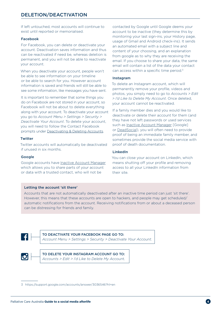If left untouched, most accounts will continue to exist until reported or memorialised.

#### Facebook

For Facebook, you can delete or deactivate your account. Deactivation saves information and thus can be reactivated if need be, whereas deletion is permanent, and you will not be able to reactivate your account.

When you deactivate your account, people won't be able to see information on your timeline or be able to search for you. However account information is saved and friends will still be able to see some information, like messages you have sent.

It is important to remember that some things you do on Facebook are not stored in your account, so Facebook will not be about to delete everything along with your account. To deactivate your account you go to *Account Menu > Settings > Security > Deactivate Your Account*. To delete your account, you will need to follow the Contact Facebook prompts under [Deactivating & Deleting Accounts.](https://www.facebook.com/help/359046244166395/)

#### **Twitter**

Twitter accounts will automatically be deactivated if unused in six months.

#### Google

Google accounts have [Inactive Account Manager](https://support.google.com/accounts/answer/3036546?hl=en) which allows you to share parts of your account or data with a trusted contact, who will not be

contacted by Google until Google deems your account to be inactive (they determine this by monitoring your last sign-ins, your History page, usage of Gmail and Android check-ins). It sends an automated email with a subject line and content of your choosing, and an explanation from google as to why they are receiving the email. If you choose to share your data, the same email will contain a list of the data your contact can access within a specific time period.<sup>3</sup>

#### Instagram

To delete an Instagram account, which will permanently remove your profile, videos and photos, you simply need to go to *Accounts > Edit > I'd Like to Delete My Account*. Once deleted, your account cannot be reactivated.

If a family member dies and you would like to deactivate or delete their account for them (and they have not left passwords or used services such as [Inactive Account Manager](https://support.google.com/accounts/answer/3036546?hl=en) [Google] or [DeadSocial](http://www.deadsocial.org)), you will often need to provide proof of being an immediate family member, and sometimes provide the social media service with proof of death documentation.

#### LinkedIn

You can close your account on LinkedIn, which means shutting off your profile and removing access to all your LinkedIn information from their site.

#### Letting the account 'sit there'

Accounts that are not automatically deactivated after an inactive time period can just 'sit there'. However, this means that these accounts are open to hackers, and people may get scheduled/ automatic notifications from the account. Receiving notifications from or about a deceased person can be distressing for friends and family.



TO deactivate your facebook page go to:

*Account Menu > Settings > Security > Deactivate Your Account*.



<sup>3</sup> <https://support.google.com/accounts/answer/3036546?hl=en>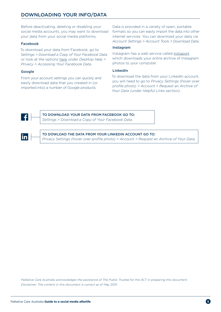## Downloading your info/data

Before deactivating, deleting or disabling your social media accounts, you may want to download your data from your social media platforms.

#### Facebook

To download your data from Facebook, go to *Settings > Download a Copy of Your Facebook Data* or look at the options [here](https://www.facebook.com/help/405183566203254/) under *Desktop Help > Privacy > Accessing Your Facebook Data*.

#### Google

From your account settings you can quickly and easily download data that you created in (or imported into) a number of Google products.

Data is provided in a variety of open, portable formats so you can easily import the data into other internet services. You can download your data via *Account Settings > Account Tools > Download Data*.

#### Instagram

Instagram has a web service called [Instaport](http://instaport.me/) which downloads your entire archive of Instagram photos to your computer.

#### LinkedIn

To download the data from your LinkedIn account, you will need to go to *Privacy Settings (hover over profile photo) > Account > Request an Archive of Your Data (under Helpful Links section).*



TO download your data from facebook go to: *Settings > Download a Copy of Your Facebook Data.*



TO dowload the data from your linkedin account go to:

*Privacy Settings (hover over profile photo) > Account > Request an Archive of Your Data.*

*Palliative Care Australia acknowledges the assistance of The Public Trustee for the ACT in preparing this document. Disclaimer: The content in this document is correct as of May 2015*